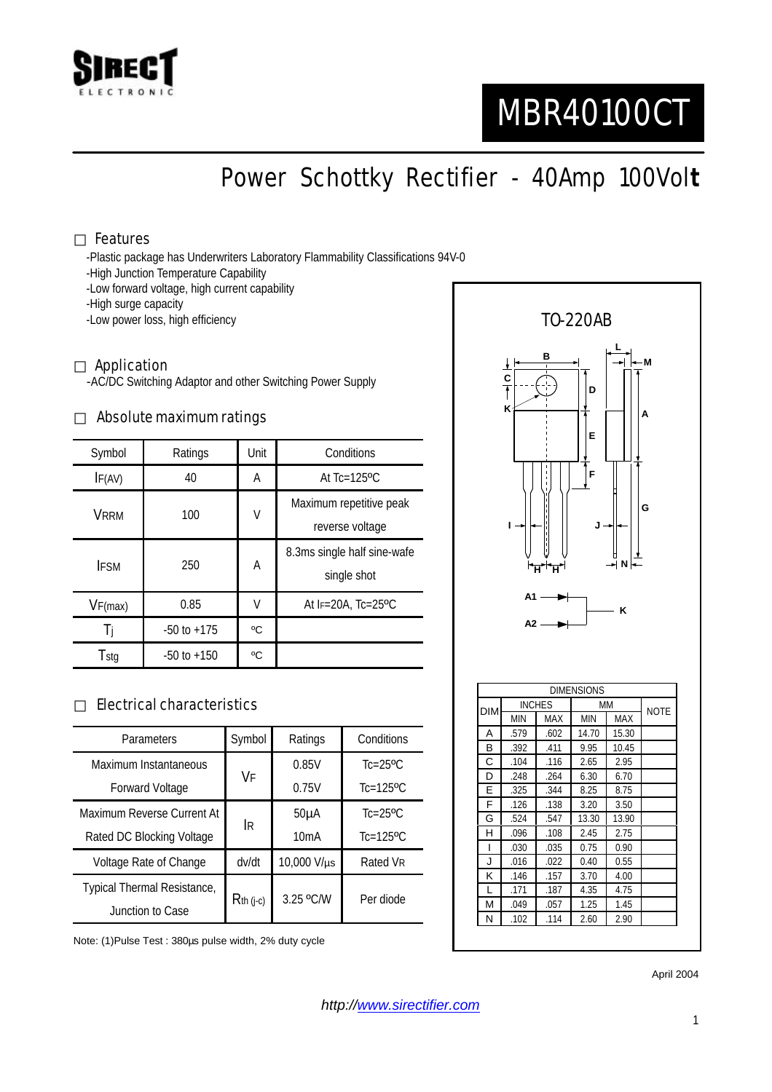

# MBR40100CT

Power Schottky Rectifier - 40Amp 100Vol**t**

## Features

-Plastic package has Underwriters Laboratory Flammability Classifications 94V-0

- -High Junction Temperature Capability
- -Low forward voltage, high current capability
- -High surge capacity
- -Low power loss, high efficiency

#### Application

-AC/DC Switching Adaptor and other Switching Power Supply

#### Absolute maximum ratings

| Symbol      | Ratings         | Unit | Conditions                                 |  |
|-------------|-----------------|------|--------------------------------------------|--|
| IF(AV)      | 40              | A    | At $Tc=125$ <sup>o</sup> $C$               |  |
| <b>VRRM</b> | 100             | V    | Maximum repetitive peak<br>reverse voltage |  |
| <b>IFSM</b> | 250             | Α    | 8.3ms single half sine-wafe<br>single shot |  |
| VF(max)     | 0.85            | V    | At $F=20A$ . Tc=25 <sup>o</sup> C          |  |
|             | $-50$ to $+175$ | °C   |                                            |  |
| Tstg        | $-50$ to $+150$ | °C   |                                            |  |

## Electrical characteristics

| Parameters                  | Symbol       | Ratings     | Conditions                |
|-----------------------------|--------------|-------------|---------------------------|
| Maximum Instantaneous       | VF           | 0.85V       | $Tc=25$ <sup>o</sup> $C$  |
| <b>Forward Voltage</b>      |              | 0.75V       | $Tc=125$ <sup>o</sup> $C$ |
| Maximum Reverse Current At  | IR.          | $50\muA$    | $Tc=25$ <sup>o</sup> $C$  |
| Rated DC Blocking Voltage   |              | 10mA        | $Tc=125$ <sup>o</sup> C   |
| Voltage Rate of Change      | dv/dt        | 10,000 V/µs | Rated VR                  |
| Typical Thermal Resistance, | $R$ th (j-c) | 3.25 °C/W   | Per diode                 |
| Junction to Case            |              |             |                           |

Note: (1)Pulse Test : 380µs pulse width, 2% duty cycle



April 2004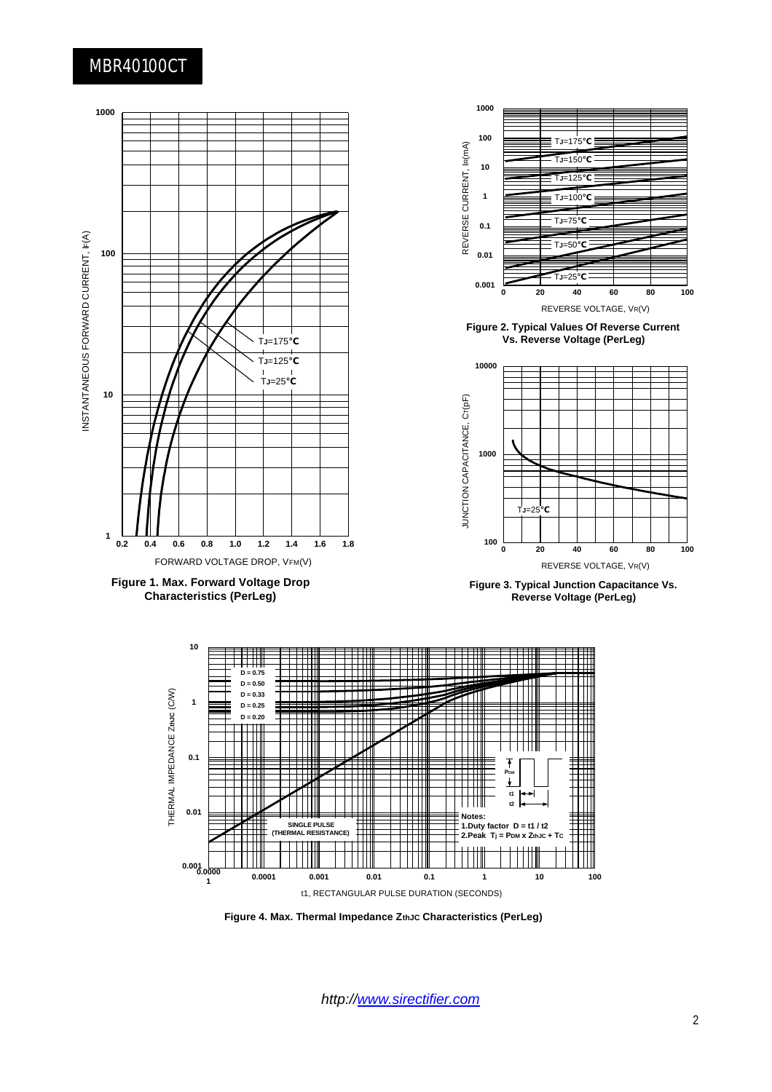# MBR40100CT



*http://www.sirectifier.com*